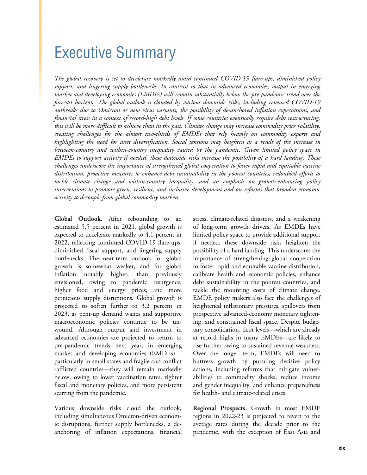## Executive Summary

*The global recovery is set to decelerate markedly amid continued COVID-19 flare-ups, diminished policy support, and lingering supply bottlenecks. In contrast to that in advanced economies, output in emerging market and developing economies (EMDEs) will remain substantially below the pre-pandemic trend over the forecast horizon. The global outlook is clouded by various downside risks, including renewed COVID-19 outbreaks due to Omicron or new virus variants, the possibility of de-anchored inflation expectations, and financial stress in a context of record-high debt levels. If some countries eventually require debt restructuring, this will be more difficult to achieve than in the past. Climate change may increase commodity price volatility, creating challenges for the almost two-thirds of EMDEs that rely heavily on commodity exports and highlighting the need for asset diversification. Social tensions may heighten as a result of the increase in between-country and within-country inequality caused by the pandemic. Given limited policy space in EMDEs to support activity if needed, these downside risks increase the possibility of a hard landing. These challenges underscore the importance of strengthened global cooperation to foster rapid and equitable vaccine distribution, proactive measures to enhance debt sustainability in the poorest countries, redoubled efforts to tackle climate change and within-country inequality, and an emphasis on growth-enhancing policy interventions to promote green, resilient, and inclusive development and on reforms that broaden economic activity to decouple from global commodity markets.* 

**Global Outlook**. After rebounding to an estimated 5.5 percent in 2021, global growth is expected to decelerate markedly to 4.1 percent in 2022, reflecting continued COVID-19 flare-ups, diminished fiscal support, and lingering supply bottlenecks. The near-term outlook for global growth is somewhat weaker, and for global inflation notably higher, than previously envisioned, owing to pandemic resurgence, higher food and energy prices, and more pernicious supply disruptions. Global growth is projected to soften further to 3.2 percent in 2023, as pent-up demand wanes and supportive macroeconomic policies continue to be unwound. Although output and investment in advanced economies are projected to return to pre-pandemic trends next year, in emerging market and developing economies (EMDEs) particularly in small states and fragile and conflict -afflicted countries—they will remain markedly below, owing to lower vaccination rates, tighter fiscal and monetary policies, and more persistent scarring from the pandemic.

Various downside risks cloud the outlook, including simultaneous Omicron-driven economic disruptions, further supply bottlenecks, a deanchoring of inflation expectations, financial stress, climate-related disasters, and a weakening of long-term growth drivers. As EMDEs have limited policy space to provide additional support if needed, these downside risks heighten the possibility of a hard landing. This underscores the importance of strengthening global cooperation to foster rapid and equitable vaccine distribution, calibrate health and economic policies, enhance debt sustainability in the poorest countries, and tackle the mounting costs of climate change. EMDE policy makers also face the challenges of heightened inflationary pressures, spillovers from prospective advanced-economy monetary tightening, and constrained fiscal space. Despite budgetary consolidation, debt levels—which are already at record highs in many EMDEs—are likely to rise further owing to sustained revenue weakness. Over the longer term, EMDEs will need to buttress growth by pursuing decisive policy actions, including reforms that mitigate vulnerabilities to commodity shocks, reduce income and gender inequality, and enhance preparedness for health- and climate-related crises.

**Regional Prospects.** Growth in most EMDE regions in 2022-23 is projected to revert to the average rates during the decade prior to the pandemic, with the exception of East Asia and